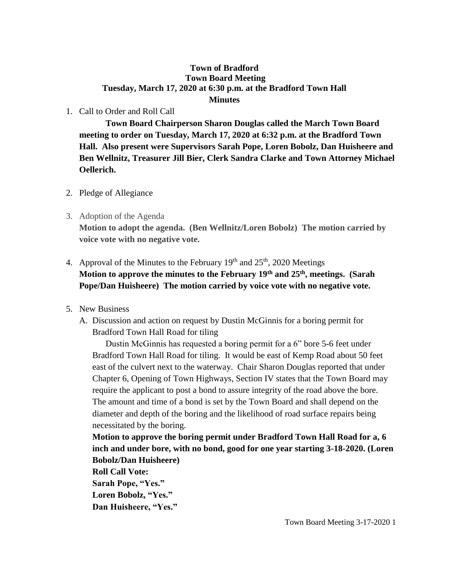## **Town of Bradford Town Board Meeting Tuesday, March 17, 2020 at 6:30 p.m. at the Bradford Town Hall Minutes**

1. Call to Order and Roll Call

**Town Board Chairperson Sharon Douglas called the March Town Board meeting to order on Tuesday, March 17, 2020 at 6:32 p.m. at the Bradford Town Hall. Also present were Supervisors Sarah Pope, Loren Bobolz, Dan Huisheere and Ben Wellnitz, Treasurer Jill Bier, Clerk Sandra Clarke and Town Attorney Michael Oellerich.**

- 2. Pledge of Allegiance
- 3. Adoption of the Agenda

**Motion to adopt the agenda. (Ben Wellnitz/Loren Bobolz) The motion carried by voice vote with no negative vote.**

- 4. Approval of the Minutes to the February  $19<sup>th</sup>$  and  $25<sup>th</sup>$ , 2020 Meetings **Motion to approve the minutes to the February 19th and 25th, meetings. (Sarah Pope/Dan Huisheere) The motion carried by voice vote with no negative vote.**
- 5. New Business
	- A. Discussion and action on request by Dustin McGinnis for a boring permit for Bradford Town Hall Road for tiling

Dustin McGinnis has requested a boring permit for a 6" bore 5-6 feet under Bradford Town Hall Road for tiling. It would be east of Kemp Road about 50 feet east of the culvert next to the waterway. Chair Sharon Douglas reported that under Chapter 6, Opening of Town Highways, Section IV states that the Town Board may require the applicant to post a bond to assure integrity of the road above the bore. The amount and time of a bond is set by the Town Board and shall depend on the diameter and depth of the boring and the likelihood of road surface repairs being necessitated by the boring.

**Motion to approve the boring permit under Bradford Town Hall Road for a, 6 inch and under bore, with no bond, good for one year starting 3-18-2020. (Loren Bobolz/Dan Huisheere)** 

**Roll Call Vote: Sarah Pope, "Yes."**

**Loren Bobolz, "Yes." Dan Huisheere, "Yes."**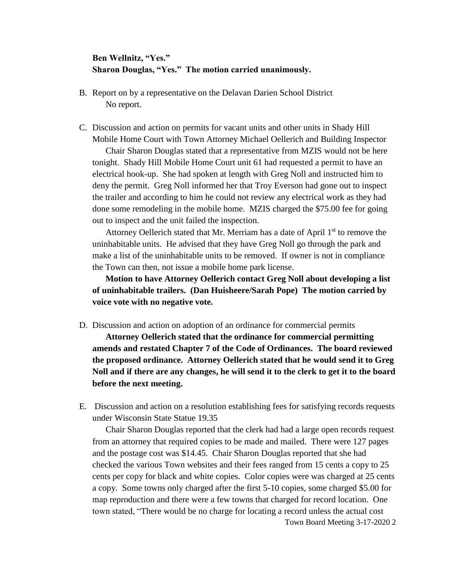## **Ben Wellnitz, "Yes." Sharon Douglas, "Yes." The motion carried unanimously.**

- B. Report on by a representative on the Delavan Darien School District No report.
- C. Discussion and action on permits for vacant units and other units in Shady Hill Mobile Home Court with Town Attorney Michael Oellerich and Building Inspector

Chair Sharon Douglas stated that a representative from MZIS would not be here tonight. Shady Hill Mobile Home Court unit 61 had requested a permit to have an electrical hook-up. She had spoken at length with Greg Noll and instructed him to deny the permit. Greg Noll informed her that Troy Everson had gone out to inspect the trailer and according to him he could not review any electrical work as they had done some remodeling in the mobile home. MZIS charged the \$75.00 fee for going out to inspect and the unit failed the inspection.

Attorney Oellerich stated that Mr. Merriam has a date of April  $1<sup>st</sup>$  to remove the uninhabitable units. He advised that they have Greg Noll go through the park and make a list of the uninhabitable units to be removed. If owner is not in compliance the Town can then, not issue a mobile home park license.

**Motion to have Attorney Oellerich contact Greg Noll about developing a list of uninhabitable trailers. (Dan Huisheere/Sarah Pope) The motion carried by voice vote with no negative vote.**

D. Discussion and action on adoption of an ordinance for commercial permits

**Attorney Oellerich stated that the ordinance for commercial permitting amends and restated Chapter 7 of the Code of Ordinances. The board reviewed the proposed ordinance. Attorney Oellerich stated that he would send it to Greg Noll and if there are any changes, he will send it to the clerk to get it to the board before the next meeting.**

E. Discussion and action on a resolution establishing fees for satisfying records requests under Wisconsin State Statue 19.35

Town Board Meeting 3-17-2020 2 Chair Sharon Douglas reported that the clerk had had a large open records request from an attorney that required copies to be made and mailed. There were 127 pages and the postage cost was \$14.45. Chair Sharon Douglas reported that she had checked the various Town websites and their fees ranged from 15 cents a copy to 25 cents per copy for black and white copies. Color copies were was charged at 25 cents a copy. Some towns only charged after the first 5-10 copies, some charged \$5.00 for map reproduction and there were a few towns that charged for record location. One town stated, "There would be no charge for locating a record unless the actual cost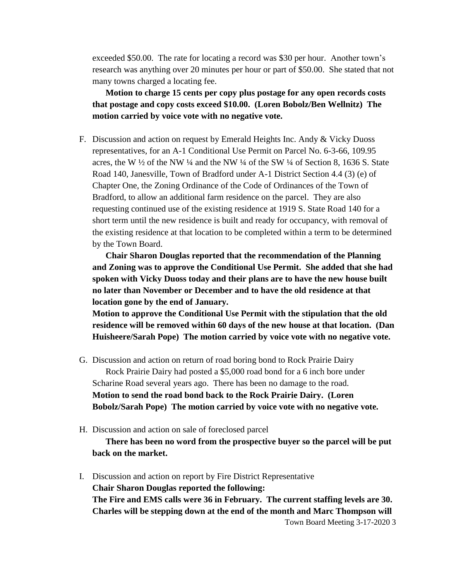exceeded \$50.00. The rate for locating a record was \$30 per hour. Another town's research was anything over 20 minutes per hour or part of \$50.00. She stated that not many towns charged a locating fee.

**Motion to charge 15 cents per copy plus postage for any open records costs that postage and copy costs exceed \$10.00. (Loren Bobolz/Ben Wellnitz) The motion carried by voice vote with no negative vote.**

F. Discussion and action on request by Emerald Heights Inc. Andy & Vicky Duoss representatives, for an A-1 Conditional Use Permit on Parcel No. 6-3-66, 109.95 acres, the W  $\frac{1}{2}$  of the NW  $\frac{1}{4}$  and the NW  $\frac{1}{4}$  of the SW  $\frac{1}{4}$  of Section 8, 1636 S. State Road 140, Janesville, Town of Bradford under A-1 District Section 4.4 (3) (e) of Chapter One, the Zoning Ordinance of the Code of Ordinances of the Town of Bradford, to allow an additional farm residence on the parcel. They are also requesting continued use of the existing residence at 1919 S. State Road 140 for a short term until the new residence is built and ready for occupancy, with removal of the existing residence at that location to be completed within a term to be determined by the Town Board.

**Chair Sharon Douglas reported that the recommendation of the Planning and Zoning was to approve the Conditional Use Permit. She added that she had spoken with Vicky Duoss today and their plans are to have the new house built no later than November or December and to have the old residence at that location gone by the end of January.** 

**Motion to approve the Conditional Use Permit with the stipulation that the old residence will be removed within 60 days of the new house at that location. (Dan Huisheere/Sarah Pope) The motion carried by voice vote with no negative vote.**

- G. Discussion and action on return of road boring bond to Rock Prairie Dairy Rock Prairie Dairy had posted a \$5,000 road bond for a 6 inch bore under Scharine Road several years ago. There has been no damage to the road. **Motion to send the road bond back to the Rock Prairie Dairy. (Loren Bobolz/Sarah Pope) The motion carried by voice vote with no negative vote.**
- H. Discussion and action on sale of foreclosed parcel

**There has been no word from the prospective buyer so the parcel will be put back on the market.**

Town Board Meeting 3-17-2020 3 I. Discussion and action on report by Fire District Representative **Chair Sharon Douglas reported the following: The Fire and EMS calls were 36 in February. The current staffing levels are 30. Charles will be stepping down at the end of the month and Marc Thompson will**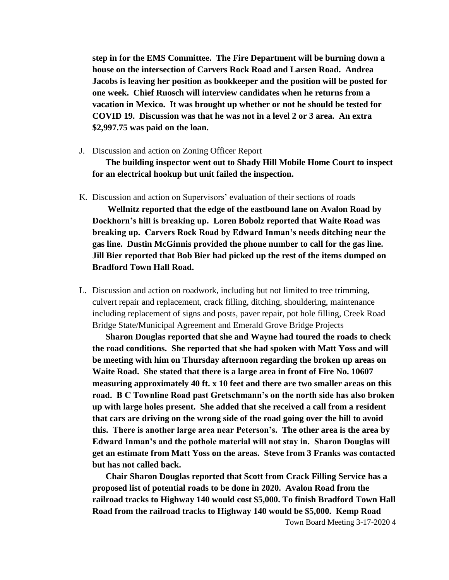**step in for the EMS Committee. The Fire Department will be burning down a house on the intersection of Carvers Rock Road and Larsen Road. Andrea Jacobs is leaving her position as bookkeeper and the position will be posted for one week. Chief Ruosch will interview candidates when he returns from a vacation in Mexico. It was brought up whether or not he should be tested for COVID 19. Discussion was that he was not in a level 2 or 3 area. An extra \$2,997.75 was paid on the loan.**

J. Discussion and action on Zoning Officer Report

**The building inspector went out to Shady Hill Mobile Home Court to inspect for an electrical hookup but unit failed the inspection.**

K. Discussion and action on Supervisors' evaluation of their sections of roads

**Wellnitz reported that the edge of the eastbound lane on Avalon Road by Dockhorn's hill is breaking up. Loren Bobolz reported that Waite Road was breaking up. Carvers Rock Road by Edward Inman's needs ditching near the gas line. Dustin McGinnis provided the phone number to call for the gas line. Jill Bier reported that Bob Bier had picked up the rest of the items dumped on Bradford Town Hall Road.**

L. Discussion and action on roadwork, including but not limited to tree trimming, culvert repair and replacement, crack filling, ditching, shouldering, maintenance including replacement of signs and posts, paver repair, pot hole filling, Creek Road Bridge State/Municipal Agreement and Emerald Grove Bridge Projects

**Sharon Douglas reported that she and Wayne had toured the roads to check the road conditions. She reported that she had spoken with Matt Yoss and will be meeting with him on Thursday afternoon regarding the broken up areas on Waite Road. She stated that there is a large area in front of Fire No. 10607 measuring approximately 40 ft. x 10 feet and there are two smaller areas on this road. B C Townline Road past Gretschmann's on the north side has also broken up with large holes present. She added that she received a call from a resident that cars are driving on the wrong side of the road going over the hill to avoid this. There is another large area near Peterson's. The other area is the area by Edward Inman's and the pothole material will not stay in. Sharon Douglas will get an estimate from Matt Yoss on the areas. Steve from 3 Franks was contacted but has not called back.**

**Chair Sharon Douglas reported that Scott from Crack Filling Service has a proposed list of potential roads to be done in 2020. Avalon Road from the railroad tracks to Highway 140 would cost \$5,000. To finish Bradford Town Hall Road from the railroad tracks to Highway 140 would be \$5,000. Kemp Road**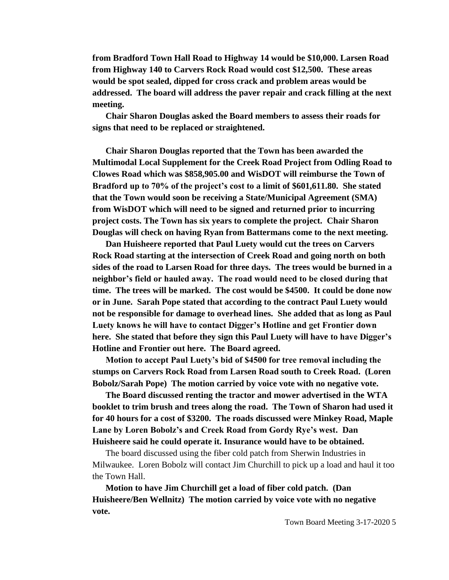**from Bradford Town Hall Road to Highway 14 would be \$10,000. Larsen Road from Highway 140 to Carvers Rock Road would cost \$12,500. These areas would be spot sealed, dipped for cross crack and problem areas would be addressed. The board will address the paver repair and crack filling at the next meeting.** 

**Chair Sharon Douglas asked the Board members to assess their roads for signs that need to be replaced or straightened.**

**Chair Sharon Douglas reported that the Town has been awarded the Multimodal Local Supplement for the Creek Road Project from Odling Road to Clowes Road which was \$858,905.00 and WisDOT will reimburse the Town of Bradford up to 70% of the project's cost to a limit of \$601,611.80. She stated that the Town would soon be receiving a State/Municipal Agreement (SMA) from WisDOT which will need to be signed and returned prior to incurring project costs. The Town has six years to complete the project. Chair Sharon Douglas will check on having Ryan from Battermans come to the next meeting.** 

**Dan Huisheere reported that Paul Luety would cut the trees on Carvers Rock Road starting at the intersection of Creek Road and going north on both sides of the road to Larsen Road for three days. The trees would be burned in a neighbor's field or hauled away. The road would need to be closed during that time. The trees will be marked. The cost would be \$4500. It could be done now or in June. Sarah Pope stated that according to the contract Paul Luety would not be responsible for damage to overhead lines. She added that as long as Paul Luety knows he will have to contact Digger's Hotline and get Frontier down here. She stated that before they sign this Paul Luety will have to have Digger's Hotline and Frontier out here. The Board agreed.**

**Motion to accept Paul Luety's bid of \$4500 for tree removal including the stumps on Carvers Rock Road from Larsen Road south to Creek Road. (Loren Bobolz/Sarah Pope) The motion carried by voice vote with no negative vote.** 

**The Board discussed renting the tractor and mower advertised in the WTA booklet to trim brush and trees along the road. The Town of Sharon had used it for 40 hours for a cost of \$3200. The roads discussed were Minkey Road, Maple Lane by Loren Bobolz's and Creek Road from Gordy Rye's west. Dan Huisheere said he could operate it. Insurance would have to be obtained.**

The board discussed using the fiber cold patch from Sherwin Industries in Milwaukee. Loren Bobolz will contact Jim Churchill to pick up a load and haul it too the Town Hall.

**Motion to have Jim Churchill get a load of fiber cold patch. (Dan Huisheere/Ben Wellnitz) The motion carried by voice vote with no negative vote.**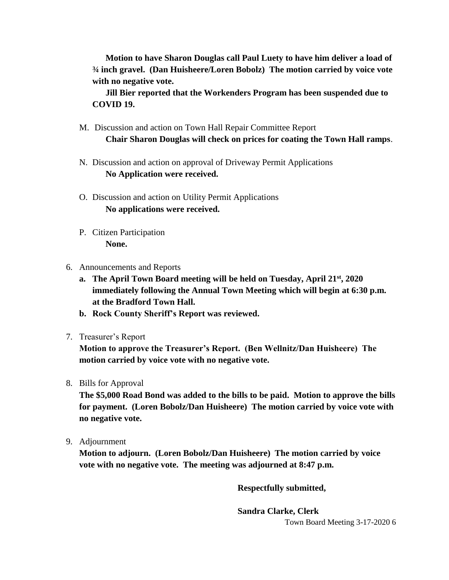**Motion to have Sharon Douglas call Paul Luety to have him deliver a load of ¾ inch gravel. (Dan Huisheere/Loren Bobolz) The motion carried by voice vote with no negative vote.**

**Jill Bier reported that the Workenders Program has been suspended due to COVID 19.** 

- M. Discussion and action on Town Hall Repair Committee Report **Chair Sharon Douglas will check on prices for coating the Town Hall ramps**.
- N. Discussion and action on approval of Driveway Permit Applications **No Application were received.**
- O. Discussion and action on Utility Permit Applications **No applications were received.**
- P. Citizen Participation **None.**
- 6. Announcements and Reports
	- **a. The April Town Board meeting will be held on Tuesday, April 21st, 2020 immediately following the Annual Town Meeting which will begin at 6:30 p.m. at the Bradford Town Hall.**
	- **b. Rock County Sheriff's Report was reviewed.**
- 7. Treasurer's Report

**Motion to approve the Treasurer's Report. (Ben Wellnitz/Dan Huisheere) The motion carried by voice vote with no negative vote.**

8. Bills for Approval

**The \$5,000 Road Bond was added to the bills to be paid. Motion to approve the bills for payment. (Loren Bobolz/Dan Huisheere) The motion carried by voice vote with no negative vote.**

9. Adjournment

**Motion to adjourn. (Loren Bobolz/Dan Huisheere) The motion carried by voice vote with no negative vote. The meeting was adjourned at 8:47 p.m.**

**Respectfully submitted,**

**Sandra Clarke, Clerk**

Town Board Meeting 3-17-2020 6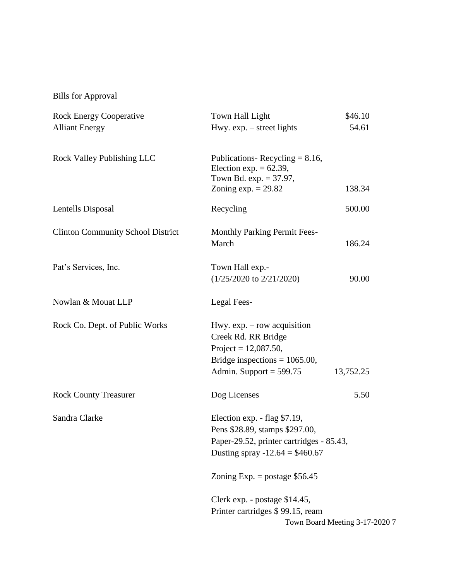Bills for Approval

| <b>Rock Energy Cooperative</b>           | Town Hall Light                                                                                                                                | \$46.10                        |  |
|------------------------------------------|------------------------------------------------------------------------------------------------------------------------------------------------|--------------------------------|--|
| <b>Alliant Energy</b>                    | Hwy. $exp. - street$ lights                                                                                                                    | 54.61                          |  |
| <b>Rock Valley Publishing LLC</b>        | Publications-Recycling = $8.16$ ,<br>Election exp. $= 62.39$ ,<br>Town Bd. exp. $= 37.97$ ,                                                    |                                |  |
|                                          | Zoning $exp. = 29.82$                                                                                                                          | 138.34                         |  |
| Lentells Disposal                        | Recycling                                                                                                                                      | 500.00                         |  |
| <b>Clinton Community School District</b> | <b>Monthly Parking Permit Fees-</b>                                                                                                            |                                |  |
|                                          | March                                                                                                                                          | 186.24                         |  |
| Pat's Services, Inc.                     | Town Hall exp.-                                                                                                                                |                                |  |
|                                          | $(1/25/2020 \text{ to } 2/21/2020)$                                                                                                            | 90.00                          |  |
| Nowlan & Mouat LLP                       | Legal Fees-                                                                                                                                    |                                |  |
| Rock Co. Dept. of Public Works           | Hwy. $exp. - row$ acquisition<br>Creek Rd. RR Bridge<br>Project = $12,087.50$ ,                                                                |                                |  |
|                                          | Bridge inspections = $1065.00$ ,<br>Admin. Support = $599.75$                                                                                  | 13,752.25                      |  |
| <b>Rock County Treasurer</b>             | Dog Licenses                                                                                                                                   | 5.50                           |  |
| Sandra Clarke                            | Election exp. - flag \$7.19,<br>Pens \$28.89, stamps \$297.00,<br>Paper-29.52, printer cartridges - 85.43,<br>Dusting spray $-12.64 = $460.67$ |                                |  |
|                                          | Zoning Exp. = postage $$56.45$                                                                                                                 |                                |  |
|                                          | Clerk exp. - postage \$14.45,<br>Printer cartridges \$99.15, ream                                                                              | Town Board Meeting 3-17-2020 7 |  |